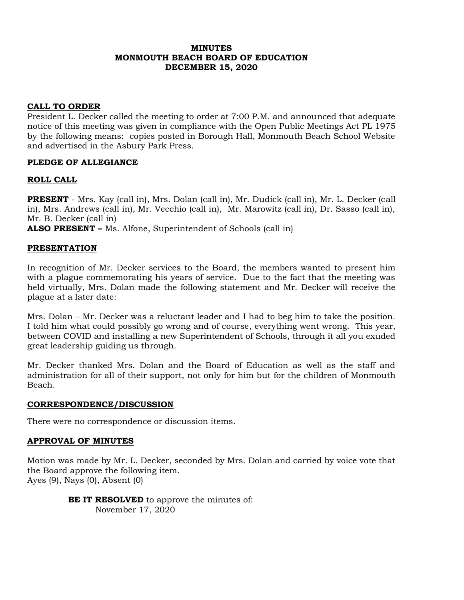### **MINUTES MONMOUTH BEACH BOARD OF EDUCATION DECEMBER 15, 2020**

### **CALL TO ORDER**

President L. Decker called the meeting to order at 7:00 P.M. and announced that adequate notice of this meeting was given in compliance with the Open Public Meetings Act PL 1975 by the following means: copies posted in Borough Hall, Monmouth Beach School Website and advertised in the Asbury Park Press.

### **PLEDGE OF ALLEGIANCE**

### **ROLL CALL**

**PRESENT** - Mrs. Kay (call in), Mrs. Dolan (call in), Mr. Dudick (call in), Mr. L. Decker (call in), Mrs. Andrews (call in), Mr. Vecchio (call in), Mr. Marowitz (call in), Dr. Sasso (call in), Mr. B. Decker (call in)

**ALSO PRESENT –** Ms. Alfone, Superintendent of Schools (call in)

### **PRESENTATION**

In recognition of Mr. Decker services to the Board, the members wanted to present him with a plague commemorating his years of service. Due to the fact that the meeting was held virtually, Mrs. Dolan made the following statement and Mr. Decker will receive the plague at a later date:

Mrs. Dolan – Mr. Decker was a reluctant leader and I had to beg him to take the position. I told him what could possibly go wrong and of course, everything went wrong. This year, between COVID and installing a new Superintendent of Schools, through it all you exuded great leadership guiding us through.

Mr. Decker thanked Mrs. Dolan and the Board of Education as well as the staff and administration for all of their support, not only for him but for the children of Monmouth Beach.

### **CORRESPONDENCE/DISCUSSION**

There were no correspondence or discussion items.

### **APPROVAL OF MINUTES**

Motion was made by Mr. L. Decker, seconded by Mrs. Dolan and carried by voice vote that the Board approve the following item. Ayes (9), Nays (0), Absent (0)

> **BE IT RESOLVED** to approve the minutes of: November 17, 2020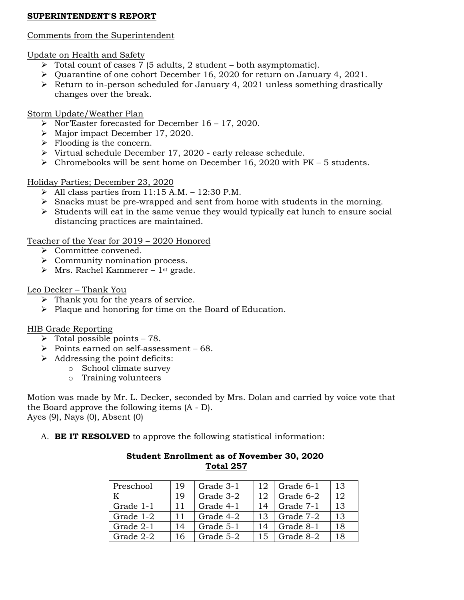# **SUPERINTENDENT'S REPORT**

# Comments from the Superintendent

# Update on Health and Safety

- ➢ Total count of cases 7 (5 adults, 2 student both asymptomatic).
- ➢ Quarantine of one cohort December 16, 2020 for return on January 4, 2021.
- ➢ Return to in-person scheduled for January 4, 2021 unless something drastically changes over the break.

# Storm Update/Weather Plan

- ➢ Nor'Easter forecasted for December 16 17, 2020.
- ➢ Major impact December 17, 2020.
- $\triangleright$  Flooding is the concern.
- ➢ Virtual schedule December 17, 2020 early release schedule.
- ➢ Chromebooks will be sent home on December 16, 2020 with PK 5 students.

# Holiday Parties; December 23, 2020

- $\triangleright$  All class parties from 11:15 A.M. 12:30 P.M.
- ➢ Snacks must be pre-wrapped and sent from home with students in the morning.
- ➢ Students will eat in the same venue they would typically eat lunch to ensure social distancing practices are maintained.

# Teacher of the Year for 2019 – 2020 Honored

- ➢ Committee convened.
- ➢ Community nomination process.
- $\triangleright$  Mrs. Rachel Kammerer 1<sup>st</sup> grade.

# Leo Decker – Thank You

- ➢ Thank you for the years of service.
- ➢ Plaque and honoring for time on the Board of Education.

# HIB Grade Reporting

- $\triangleright$  Total possible points 78.
- ➢ Points earned on self-assessment 68.
- $\triangleright$  Addressing the point deficits:
	- o School climate survey
		- o Training volunteers

Motion was made by Mr. L. Decker, seconded by Mrs. Dolan and carried by voice vote that the Board approve the following items (A - D). Ayes (9), Nays (0), Absent (0)

A. **BE IT RESOLVED** to approve the following statistical information:

| Preschool | 19 | Grade 3-1 | 12 | Grade 6-1 | 13 |
|-----------|----|-----------|----|-----------|----|
|           |    |           |    |           |    |
| K         | 19 | Grade 3-2 | 12 | Grade 6-2 | 12 |
| Grade 1-1 | 11 | Grade 4-1 | 14 | Grade 7-1 | 13 |
| Grade 1-2 | 11 | Grade 4-2 | 13 | Grade 7-2 | 13 |
| Grade 2-1 | 14 | Grade 5-1 | 14 | Grade 8-1 | 18 |
| Grade 2-2 | 16 | Grade 5-2 | 15 | Grade 8-2 | 18 |

# **Student Enrollment as of November 30, 2020 Total 257**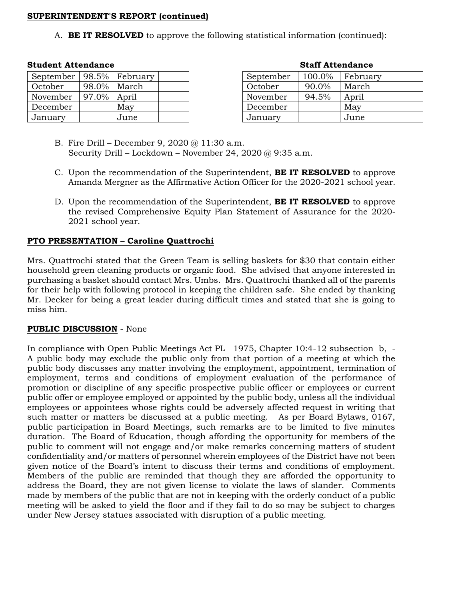### **SUPERINTENDENT'S REPORT (continued)**

A. **BE IT RESOLVED** to approve the following statistical information (continued):

# **Student Attendance Staff Attendance**

| September |       | $\vert$ 98.5%   February |  |
|-----------|-------|--------------------------|--|
| October   |       | 98.0% March              |  |
| November  | 97.0% | April                    |  |
| December  |       | May                      |  |
| January   |       | June                     |  |

| Stall Attendance |        |          |  |  |  |
|------------------|--------|----------|--|--|--|
| September        | 100.0% | February |  |  |  |
| October          | 90.0%  | March    |  |  |  |
| November         | 94.5%  | April    |  |  |  |
| December         |        | May      |  |  |  |
| January          |        | June     |  |  |  |

- B. Fire Drill December 9, 2020 @ 11:30 a.m. Security Drill – Lockdown – November 24, 2020 @ 9:35 a.m.
- C. Upon the recommendation of the Superintendent, **BE IT RESOLVED** to approve Amanda Mergner as the Affirmative Action Officer for the 2020-2021 school year.
- D. Upon the recommendation of the Superintendent, **BE IT RESOLVED** to approve the revised Comprehensive Equity Plan Statement of Assurance for the 2020- 2021 school year.

### **PTO PRESENTATION – Caroline Quattrochi**

Mrs. Quattrochi stated that the Green Team is selling baskets for \$30 that contain either household green cleaning products or organic food. She advised that anyone interested in purchasing a basket should contact Mrs. Umbs. Mrs. Quattrochi thanked all of the parents for their help with following protocol in keeping the children safe. She ended by thanking Mr. Decker for being a great leader during difficult times and stated that she is going to miss him.

# **PUBLIC DISCUSSION** - None

In compliance with Open Public Meetings Act PL 1975, Chapter 10:4-12 subsection b, - A public body may exclude the public only from that portion of a meeting at which the public body discusses any matter involving the employment, appointment, termination of employment, terms and conditions of employment evaluation of the performance of promotion or discipline of any specific prospective public officer or employees or current public offer or employee employed or appointed by the public body, unless all the individual employees or appointees whose rights could be adversely affected request in writing that such matter or matters be discussed at a public meeting. As per Board Bylaws, 0167, public participation in Board Meetings, such remarks are to be limited to five minutes duration. The Board of Education, though affording the opportunity for members of the public to comment will not engage and/or make remarks concerning matters of student confidentiality and/or matters of personnel wherein employees of the District have not been given notice of the Board's intent to discuss their terms and conditions of employment. Members of the public are reminded that though they are afforded the opportunity to address the Board, they are not given license to violate the laws of slander. Comments made by members of the public that are not in keeping with the orderly conduct of a public meeting will be asked to yield the floor and if they fail to do so may be subject to charges under New Jersey statues associated with disruption of a public meeting.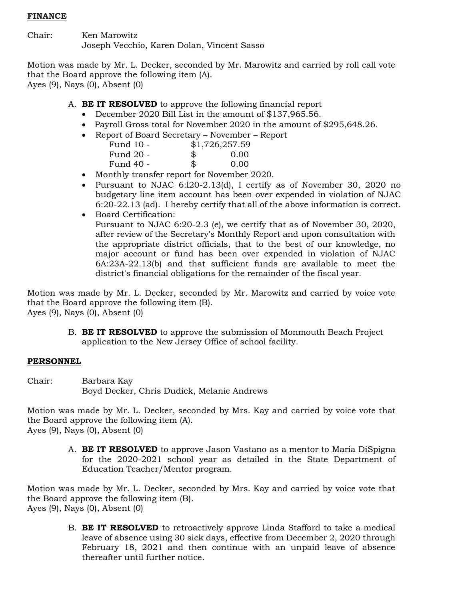### **FINANCE**

Chair: Ken Marowitz Joseph Vecchio, Karen Dolan, Vincent Sasso

Motion was made by Mr. L. Decker, seconded by Mr. Marowitz and carried by roll call vote that the Board approve the following item (A). Ayes (9), Nays (0), Absent (0)

A. **BE IT RESOLVED** to approve the following financial report

- December 2020 Bill List in the amount of \$137,965.56.
- Payroll Gross total for November 2020 in the amount of \$295,648.26.
- Report of Board Secretary November Report

| Fund 10 - |    | \$1,726,257.59 |
|-----------|----|----------------|
| Fund 20 - | S. | 0.00           |
| Fund 40 - | \$ | 0.00           |

- Monthly transfer report for November 2020.
- Pursuant to NJAC 6:l20-2.13(d), I certify as of November 30, 2020 no budgetary line item account has been over expended in violation of NJAC 6:20-22.13 (ad). I hereby certify that all of the above information is correct.
- Board Certification:

Pursuant to NJAC 6:20-2.3 (e), we certify that as of November 30, 2020, after review of the Secretary's Monthly Report and upon consultation with the appropriate district officials, that to the best of our knowledge, no major account or fund has been over expended in violation of NJAC 6A:23A-22.13(b) and that sufficient funds are available to meet the district's financial obligations for the remainder of the fiscal year.

Motion was made by Mr. L. Decker, seconded by Mr. Marowitz and carried by voice vote that the Board approve the following item (B). Ayes (9), Nays (0), Absent (0)

> B. **BE IT RESOLVED** to approve the submission of Monmouth Beach Project application to the New Jersey Office of school facility.

# **PERSONNEL**

Chair: Barbara Kay Boyd Decker, Chris Dudick, Melanie Andrews

Motion was made by Mr. L. Decker, seconded by Mrs. Kay and carried by voice vote that the Board approve the following item (A). Ayes (9), Nays (0), Absent (0)

> A. **BE IT RESOLVED** to approve Jason Vastano as a mentor to Maria DiSpigna for the 2020-2021 school year as detailed in the State Department of Education Teacher/Mentor program.

Motion was made by Mr. L. Decker, seconded by Mrs. Kay and carried by voice vote that the Board approve the following item (B). Ayes (9), Nays (0), Absent (0)

> B. **BE IT RESOLVED** to retroactively approve Linda Stafford to take a medical leave of absence using 30 sick days, effective from December 2, 2020 through February 18, 2021 and then continue with an unpaid leave of absence thereafter until further notice.